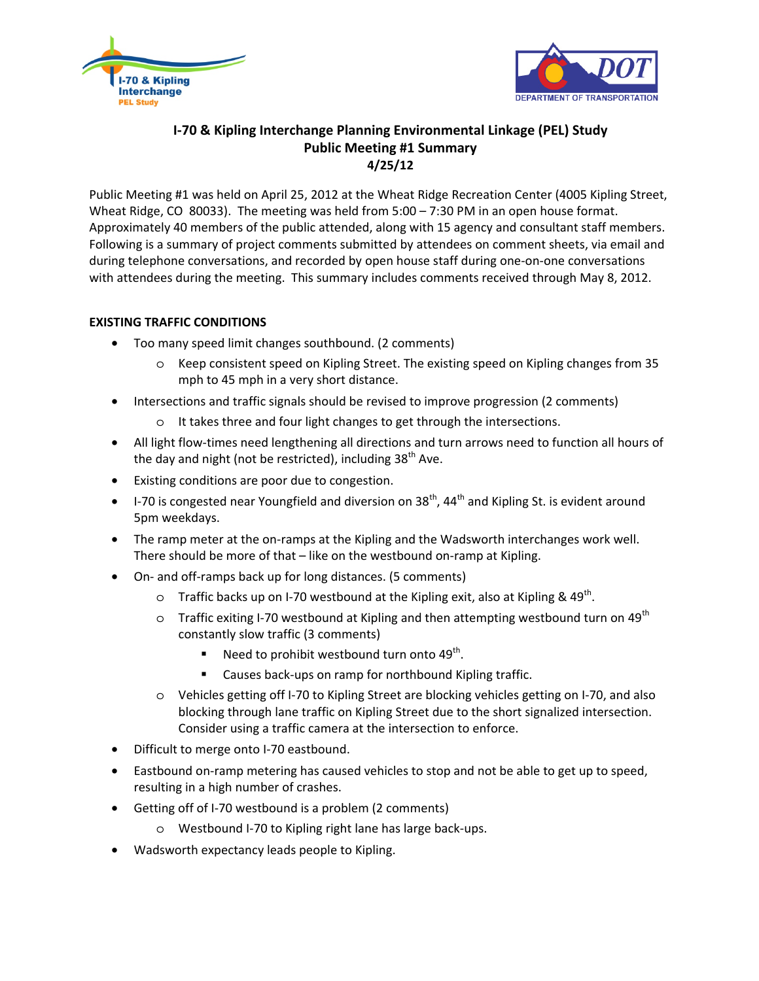



# **I-70 & Kipling Interchange Planning Environmental Linkage (PEL) Study Public Meeting #1 Summary 4/25/12**

Public Meeting #1 was held on April 25, 2012 at the Wheat Ridge Recreation Center (4005 Kipling Street, Wheat Ridge, CO 80033). The meeting was held from 5:00 – 7:30 PM in an open house format. Approximately 40 members of the public attended, along with 15 agency and consultant staff members. Following is a summary of project comments submitted by attendees on comment sheets, via email and during telephone conversations, and recorded by open house staff during one-on-one conversations with attendees during the meeting. This summary includes comments received through May 8, 2012.

## **EXISTING TRAFFIC CONDITIONS**

- Too many speed limit changes southbound. (2 comments)
	- o Keep consistent speed on Kipling Street. The existing speed on Kipling changes from 35 mph to 45 mph in a very short distance.
- Intersections and traffic signals should be revised to improve progression (2 comments)
	- o It takes three and four light changes to get through the intersections.
- All light flow-times need lengthening all directions and turn arrows need to function all hours of the day and night (not be restricted), including  $38<sup>th</sup>$  Ave.
- Existing conditions are poor due to congestion.
- $\bullet$  1-70 is congested near Youngfield and diversion on 38<sup>th</sup>, 44<sup>th</sup> and Kipling St. is evident around 5pm weekdays.
- The ramp meter at the on-ramps at the Kipling and the Wadsworth interchanges work well. There should be more of that – like on the westbound on-ramp at Kipling.
- On- and off-ramps back up for long distances. (5 comments)
	- o Traffic backs up on I-70 westbound at the Kipling exit, also at Kipling &  $49^{th}$ .
	- $\circ$  Traffic exiting I-70 westbound at Kipling and then attempting westbound turn on 49<sup>th</sup> constantly slow traffic (3 comments)
		- Need to prohibit westbound turn onto  $49<sup>th</sup>$ .
		- **EXEC** Causes back-ups on ramp for northbound Kipling traffic.
	- o Vehicles getting off I-70 to Kipling Street are blocking vehicles getting on I-70, and also blocking through lane traffic on Kipling Street due to the short signalized intersection. Consider using a traffic camera at the intersection to enforce.
- Difficult to merge onto I-70 eastbound.
- Eastbound on-ramp metering has caused vehicles to stop and not be able to get up to speed, resulting in a high number of crashes.
- Getting off of I-70 westbound is a problem (2 comments)
	- o Westbound I-70 to Kipling right lane has large back-ups.
- Wadsworth expectancy leads people to Kipling.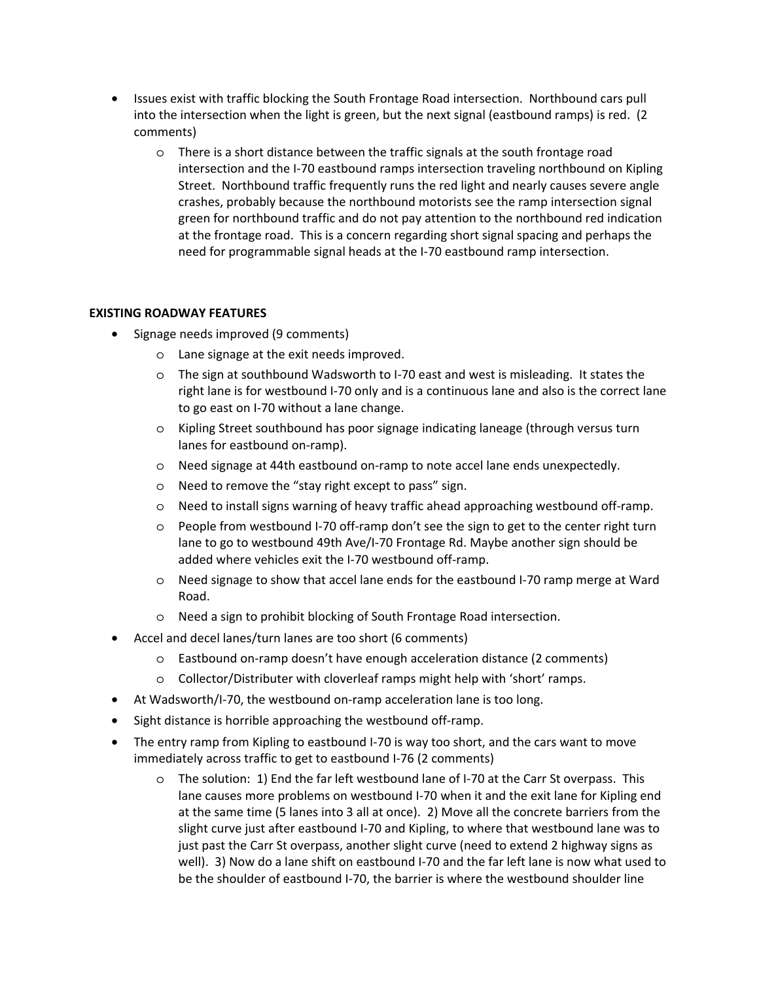- Issues exist with traffic blocking the South Frontage Road intersection. Northbound cars pull into the intersection when the light is green, but the next signal (eastbound ramps) is red. (2 comments)
	- o There is a short distance between the traffic signals at the south frontage road intersection and the I-70 eastbound ramps intersection traveling northbound on Kipling Street. Northbound traffic frequently runs the red light and nearly causes severe angle crashes, probably because the northbound motorists see the ramp intersection signal green for northbound traffic and do not pay attention to the northbound red indication at the frontage road. This is a concern regarding short signal spacing and perhaps the need for programmable signal heads at the I-70 eastbound ramp intersection.

#### **EXISTING ROADWAY FEATURES**

- Signage needs improved (9 comments)
	- o Lane signage at the exit needs improved.
	- o The sign at southbound Wadsworth to I-70 east and west is misleading. It states the right lane is for westbound I-70 only and is a continuous lane and also is the correct lane to go east on I-70 without a lane change.
	- o Kipling Street southbound has poor signage indicating laneage (through versus turn lanes for eastbound on-ramp).
	- o Need signage at 44th eastbound on-ramp to note accel lane ends unexpectedly.
	- o Need to remove the "stay right except to pass" sign.
	- o Need to install signs warning of heavy traffic ahead approaching westbound off-ramp.
	- o People from westbound I-70 off-ramp don't see the sign to get to the center right turn lane to go to westbound 49th Ave/I-70 Frontage Rd. Maybe another sign should be added where vehicles exit the I-70 westbound off-ramp.
	- o Need signage to show that accel lane ends for the eastbound I-70 ramp merge at Ward Road.
	- o Need a sign to prohibit blocking of South Frontage Road intersection.
- Accel and decel lanes/turn lanes are too short (6 comments)
	- o Eastbound on-ramp doesn't have enough acceleration distance (2 comments)
	- o Collector/Distributer with cloverleaf ramps might help with 'short' ramps.
- At Wadsworth/I-70, the westbound on-ramp acceleration lane is too long.
- Sight distance is horrible approaching the westbound off-ramp.
- The entry ramp from Kipling to eastbound I-70 is way too short, and the cars want to move immediately across traffic to get to eastbound I-76 (2 comments)
	- o The solution: 1) End the far left westbound lane of I-70 at the Carr St overpass. This lane causes more problems on westbound I-70 when it and the exit lane for Kipling end at the same time (5 lanes into 3 all at once). 2) Move all the concrete barriers from the slight curve just after eastbound I-70 and Kipling, to where that westbound lane was to just past the Carr St overpass, another slight curve (need to extend 2 highway signs as well). 3) Now do a lane shift on eastbound I-70 and the far left lane is now what used to be the shoulder of eastbound I-70, the barrier is where the westbound shoulder line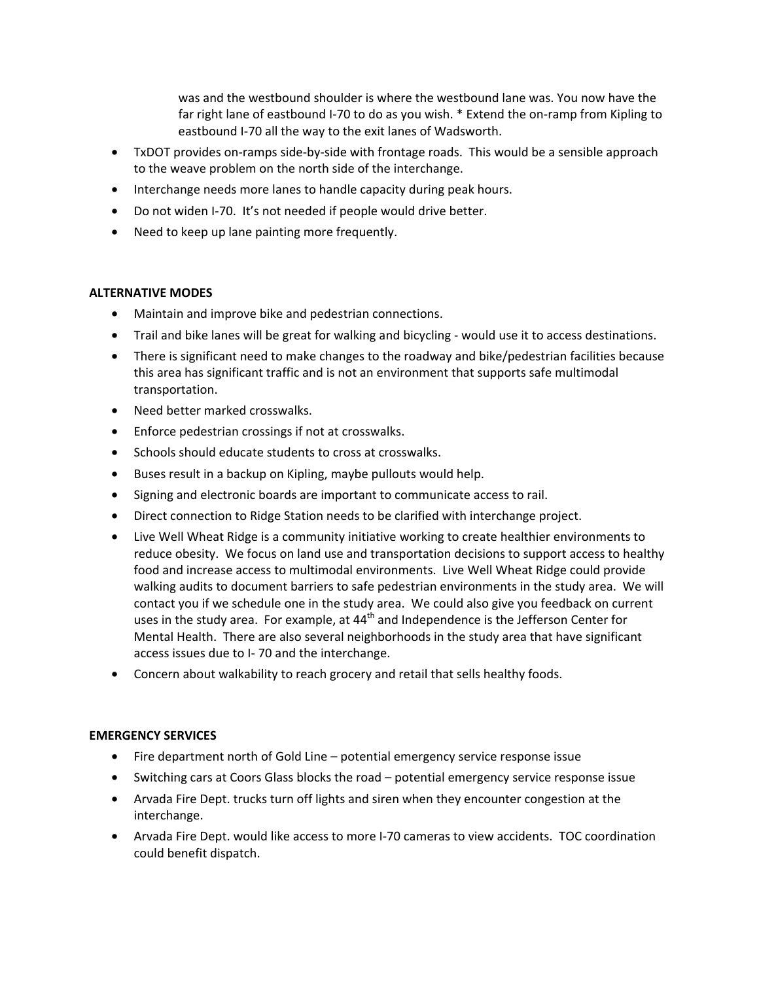was and the westbound shoulder is where the westbound lane was. You now have the far right lane of eastbound I-70 to do as you wish. \* Extend the on-ramp from Kipling to eastbound I-70 all the way to the exit lanes of Wadsworth.

- TxDOT provides on-ramps side-by-side with frontage roads. This would be a sensible approach to the weave problem on the north side of the interchange.
- Interchange needs more lanes to handle capacity during peak hours.
- Do not widen I-70. It's not needed if people would drive better.
- Need to keep up lane painting more frequently.

#### **ALTERNATIVE MODES**

- Maintain and improve bike and pedestrian connections.
- Trail and bike lanes will be great for walking and bicycling would use it to access destinations.
- There is significant need to make changes to the roadway and bike/pedestrian facilities because this area has significant traffic and is not an environment that supports safe multimodal transportation.
- Need better marked crosswalks.
- Enforce pedestrian crossings if not at crosswalks.
- Schools should educate students to cross at crosswalks.
- Buses result in a backup on Kipling, maybe pullouts would help.
- Signing and electronic boards are important to communicate access to rail.
- Direct connection to Ridge Station needs to be clarified with interchange project.
- Live Well Wheat Ridge is a community initiative working to create healthier environments to reduce obesity. We focus on land use and transportation decisions to support access to healthy food and increase access to multimodal environments. Live Well Wheat Ridge could provide walking audits to document barriers to safe pedestrian environments in the study area. We will contact you if we schedule one in the study area. We could also give you feedback on current uses in the study area. For example, at  $44<sup>th</sup>$  and Independence is the Jefferson Center for Mental Health. There are also several neighborhoods in the study area that have significant access issues due to I- 70 and the interchange.
- Concern about walkability to reach grocery and retail that sells healthy foods.

#### **EMERGENCY SERVICES**

- Fire department north of Gold Line potential emergency service response issue
- Switching cars at Coors Glass blocks the road potential emergency service response issue
- Arvada Fire Dept. trucks turn off lights and siren when they encounter congestion at the interchange.
- Arvada Fire Dept. would like access to more I-70 cameras to view accidents. TOC coordination could benefit dispatch.